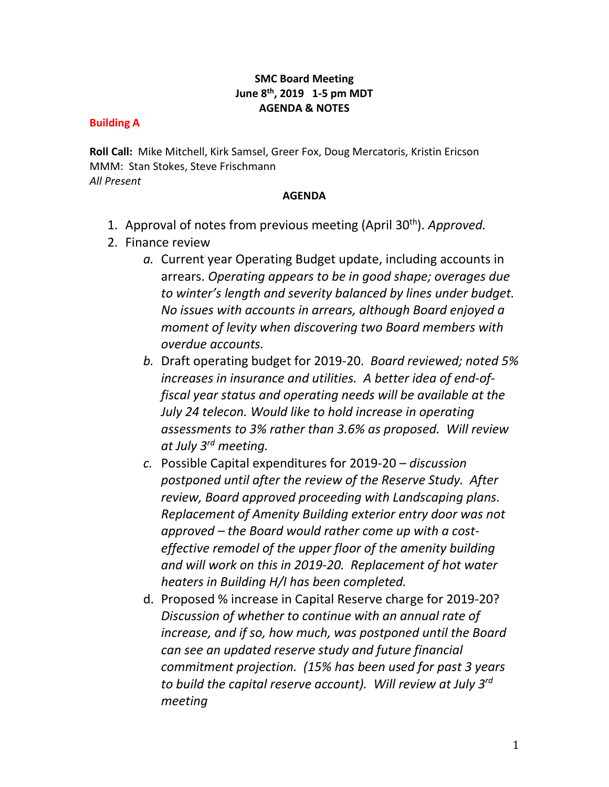## **SMC Board Meeting June 8th, 2019 1-5 pm MDT AGENDA & NOTES**

## **Building A**

**Roll Call:** Mike Mitchell, Kirk Samsel, Greer Fox, Doug Mercatoris, Kristin Ericson MMM: Stan Stokes, Steve Frischmann *All Present*

## **AGENDA**

- 1. Approval of notes from previous meeting (April 30 th). *Approved.*
- 2. Finance review
	- *a.* Current year Operating Budget update, including accounts in arrears. *Operating appears to be in good shape; overages due to winter's length and severity balanced by lines under budget. No issues with accounts in arrears, although Board enjoyed a moment of levity when discovering two Board members with overdue accounts.*
	- *b.* Draft operating budget for 2019-20. *Board reviewed; noted 5% increases in insurance and utilities. A better idea of end-offiscal year status and operating needs will be available at the July 24 telecon. Would like to hold increase in operating assessments to 3% rather than 3.6% as proposed. Will review at July 3rd meeting.*
	- *c.* Possible Capital expenditures for 2019-20 *discussion postponed until after the review of the Reserve Study. After review, Board approved proceeding with Landscaping plans. Replacement of Amenity Building exterior entry door was not approved – the Board would rather come up with a costeffective remodel of the upper floor of the amenity building and will work on this in 2019-20. Replacement of hot water heaters in Building H/I has been completed.*
	- d. Proposed % increase in Capital Reserve charge for 2019-20? *Discussion of whether to continue with an annual rate of increase, and if so, how much, was postponed until the Board can see an updated reserve study and future financial commitment projection. (15% has been used for past 3 years to build the capital reserve account). Will review at July 3rd meeting*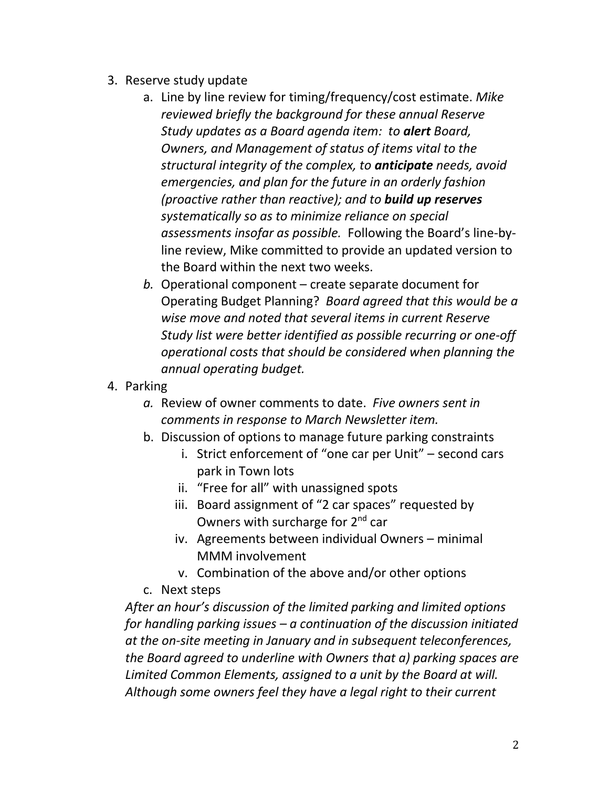- 3. Reserve study update
	- a. Line by line review for timing/frequency/cost estimate. *Mike reviewed briefly the background for these annual Reserve Study updates as a Board agenda item: to alert Board, Owners, and Management of status of items vital to the structural integrity of the complex, to anticipate needs, avoid emergencies, and plan for the future in an orderly fashion (proactive rather than reactive); and to build up reserves systematically so as to minimize reliance on special assessments insofar as possible.* Following the Board's line-byline review, Mike committed to provide an updated version to the Board within the next two weeks.
	- *b.* Operational component create separate document for Operating Budget Planning? *Board agreed that this would be a wise move and noted that several items in current Reserve Study list were better identified as possible recurring or one-off operational costs that should be considered when planning the annual operating budget.*
- 4. Parking
	- *a.* Review of owner comments to date. *Five owners sent in comments in response to March Newsletter item.*
	- b. Discussion of options to manage future parking constraints
		- i. Strict enforcement of "one car per Unit" second cars park in Town lots
		- ii. "Free for all" with unassigned spots
		- iii. Board assignment of "2 car spaces" requested by Owners with surcharge for 2<sup>nd</sup> car
		- iv. Agreements between individual Owners minimal MMM involvement
		- v. Combination of the above and/or other options
	- c. Next steps

*After an hour's discussion of the limited parking and limited options for handling parking issues – a continuation of the discussion initiated at the on-site meeting in January and in subsequent teleconferences, the Board agreed to underline with Owners that a) parking spaces are Limited Common Elements, assigned to a unit by the Board at will. Although some owners feel they have a legal right to their current*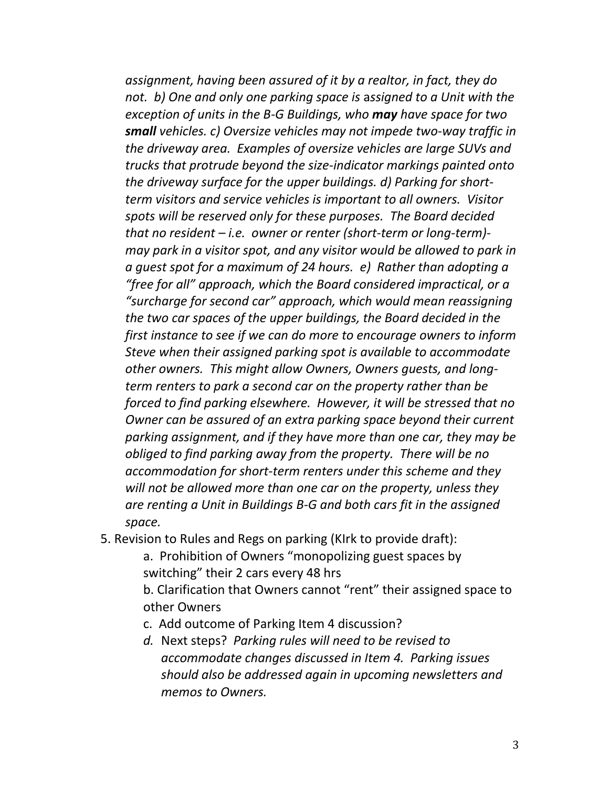*assignment, having been assured of it by a realtor, in fact, they do not. b) One and only one parking space is* a*ssigned to a Unit with the exception of units in the B-G Buildings, who may have space for two small vehicles. c) Oversize vehicles may not impede two-way traffic in the driveway area. Examples of oversize vehicles are large SUVs and trucks that protrude beyond the size-indicator markings painted onto the driveway surface for the upper buildings. d) Parking for shortterm visitors and service vehicles is important to all owners. Visitor spots will be reserved only for these purposes. The Board decided that no resident – i.e. owner or renter (short-term or long-term) may park in a visitor spot, and any visitor would be allowed to park in a guest spot for a maximum of 24 hours. e) Rather than adopting a "free for all" approach, which the Board considered impractical, or a "surcharge for second car" approach, which would mean reassigning the two car spaces of the upper buildings, the Board decided in the first instance to see if we can do more to encourage owners to inform Steve when their assigned parking spot is available to accommodate other owners. This might allow Owners, Owners guests, and longterm renters to park a second car on the property rather than be forced to find parking elsewhere. However, it will be stressed that no Owner can be assured of an extra parking space beyond their current parking assignment, and if they have more than one car, they may be obliged to find parking away from the property. There will be no accommodation for short-term renters under this scheme and they will not be allowed more than one car on the property, unless they are renting a Unit in Buildings B-G and both cars fit in the assigned space.*

- 5. Revision to Rules and Regs on parking (KIrk to provide draft):
	- a. Prohibition of Owners "monopolizing guest spaces by switching" their 2 cars every 48 hrs
	- b. Clarification that Owners cannot "rent" their assigned space to other Owners
	- c. Add outcome of Parking Item 4 discussion?
	- *d.* Next steps? *Parking rules will need to be revised to accommodate changes discussed in Item 4. Parking issues should also be addressed again in upcoming newsletters and memos to Owners.*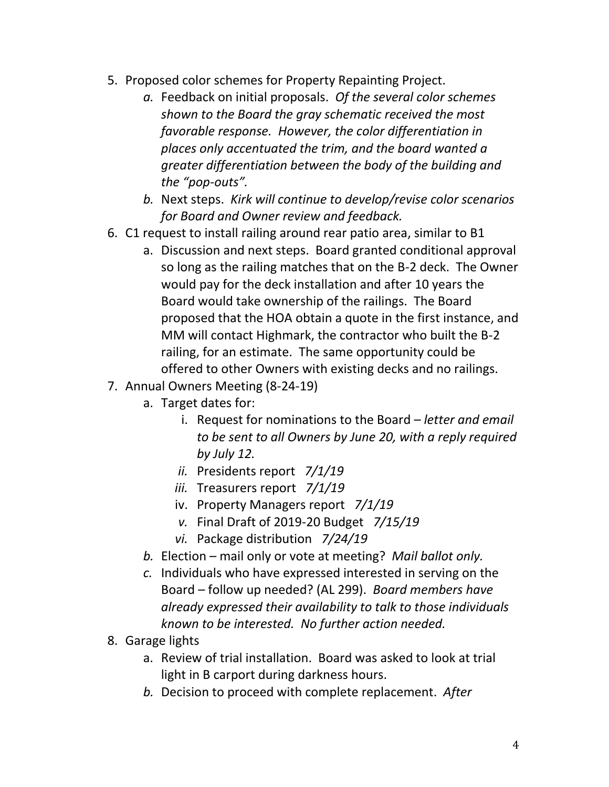- 5. Proposed color schemes for Property Repainting Project.
	- *a.* Feedback on initial proposals. *Of the several color schemes shown to the Board the gray schematic received the most favorable response. However, the color differentiation in places only accentuated the trim, and the board wanted a greater differentiation between the body of the building and the "pop-outs".*
	- *b.* Next steps. *Kirk will continue to develop/revise color scenarios for Board and Owner review and feedback.*
- 6. C1 request to install railing around rear patio area, similar to B1
	- a. Discussion and next steps. Board granted conditional approval so long as the railing matches that on the B-2 deck. The Owner would pay for the deck installation and after 10 years the Board would take ownership of the railings. The Board proposed that the HOA obtain a quote in the first instance, and MM will contact Highmark, the contractor who built the B-2 railing, for an estimate. The same opportunity could be offered to other Owners with existing decks and no railings.
- 7. Annual Owners Meeting (8-24-19)
	- a. Target dates for:
		- i. Request for nominations to the Board *letter and email to be sent to all Owners by June 20, with a reply required by July 12.*
		- *ii.* Presidents report *7/1/19*
		- *iii.* Treasurers report *7/1/19*
		- iv. Property Managers report *7/1/19*
		- *v.* Final Draft of 2019-20 Budget *7/15/19*
		- *vi.* Package distribution *7/24/19*
	- *b.* Election mail only or vote at meeting? *Mail ballot only.*
	- *c.* Individuals who have expressed interested in serving on the Board – follow up needed? (AL 299). *Board members have already expressed their availability to talk to those individuals known to be interested. No further action needed.*
- 8. Garage lights
	- a. Review of trial installation. Board was asked to look at trial light in B carport during darkness hours.
	- *b.* Decision to proceed with complete replacement. *After*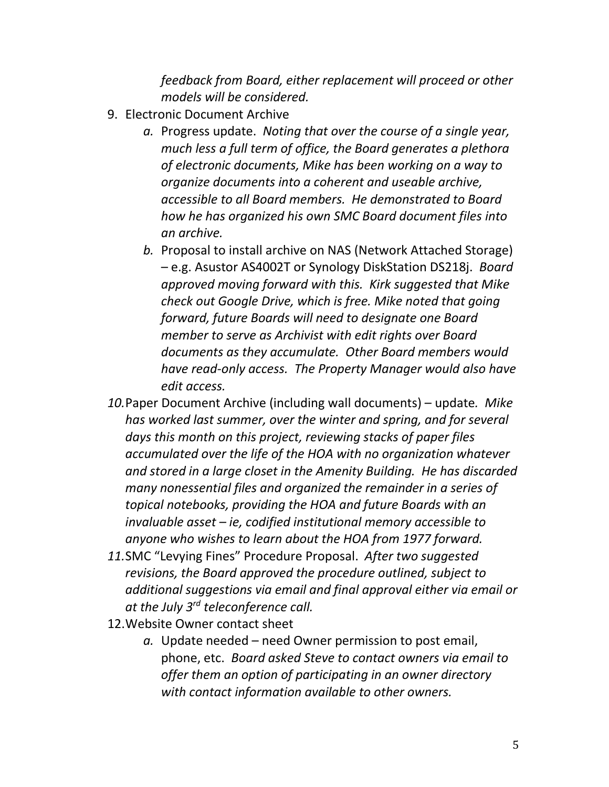*feedback from Board, either replacement will proceed or other models will be considered.*

- 9. Electronic Document Archive
	- *a.* Progress update. *Noting that over the course of a single year, much less a full term of office, the Board generates a plethora of electronic documents, Mike has been working on a way to organize documents into a coherent and useable archive, accessible to all Board members. He demonstrated to Board how he has organized his own SMC Board document files into an archive.*
	- *b.* Proposal to install archive on NAS (Network Attached Storage) – e.g. Asustor AS4002T or Synology DiskStation DS218j. *Board approved moving forward with this. Kirk suggested that Mike check out Google Drive, which is free. Mike noted that going forward, future Boards will need to designate one Board member to serve as Archivist with edit rights over Board documents as they accumulate. Other Board members would have read-only access. The Property Manager would also have edit access.*
- *10.*Paper Document Archive (including wall documents) update*. Mike has worked last summer, over the winter and spring, and for several days this month on this project, reviewing stacks of paper files accumulated over the life of the HOA with no organization whatever and stored in a large closet in the Amenity Building. He has discarded many nonessential files and organized the remainder in a series of topical notebooks, providing the HOA and future Boards with an invaluable asset – ie, codified institutional memory accessible to anyone who wishes to learn about the HOA from 1977 forward.*
- *11.*SMC "Levying Fines" Procedure Proposal. *After two suggested revisions, the Board approved the procedure outlined, subject to additional suggestions via email and final approval either via email or at the July 3rd teleconference call.*
- 12.Website Owner contact sheet
	- *a.* Update needed need Owner permission to post email, phone, etc. *Board asked Steve to contact owners via email to offer them an option of participating in an owner directory with contact information available to other owners.*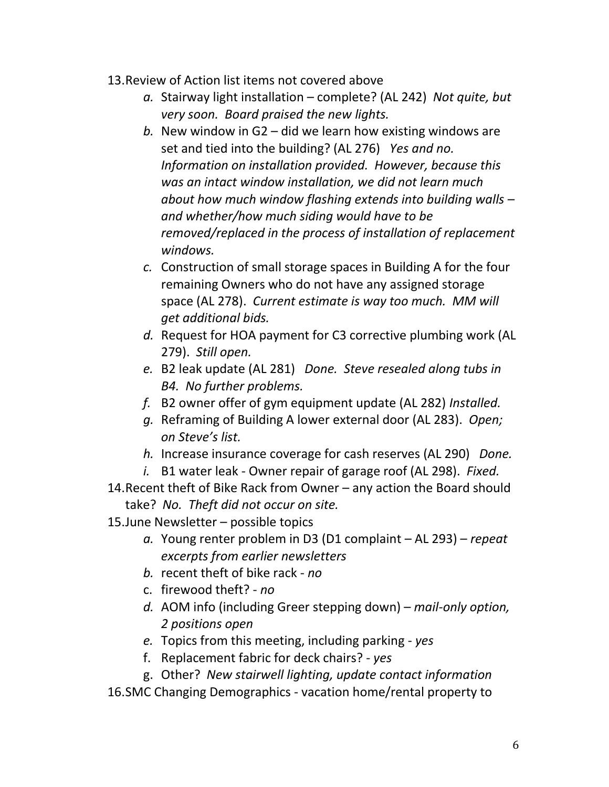- 13.Review of Action list items not covered above
	- *a.* Stairway light installation complete? (AL 242) *Not quite, but very soon. Board praised the new lights.*
	- *b.* New window in G2 did we learn how existing windows are set and tied into the building? (AL 276) *Yes and no. Information on installation provided. However, because this was an intact window installation, we did not learn much about how much window flashing extends into building walls – and whether/how much siding would have to be removed/replaced in the process of installation of replacement windows.*
	- *c.* Construction of small storage spaces in Building A for the four remaining Owners who do not have any assigned storage space (AL 278). *Current estimate is way too much. MM will get additional bids.*
	- *d.* Request for HOA payment for C3 corrective plumbing work (AL 279). *Still open.*
	- *e.* B2 leak update (AL 281) *Done. Steve resealed along tubs in B4. No further problems.*
	- *f.* B2 owner offer of gym equipment update (AL 282) *Installed.*
	- *g.* Reframing of Building A lower external door (AL 283). *Open; on Steve's list.*
	- *h.* Increase insurance coverage for cash reserves (AL 290) *Done.*
	- *i.* B1 water leak Owner repair of garage roof (AL 298). *Fixed.*
- 14.Recent theft of Bike Rack from Owner any action the Board should take? *No. Theft did not occur on site.*
- 15.June Newsletter possible topics
	- *a.* Young renter problem in D3 (D1 complaint AL 293) *repeat excerpts from earlier newsletters*
	- *b.* recent theft of bike rack *no*
	- c. firewood theft? *no*
	- *d.* AOM info (including Greer stepping down) *mail-only option, 2 positions open*
	- *e.* Topics from this meeting, including parking *yes*
	- f. Replacement fabric for deck chairs? *yes*
	- g. Other? *New stairwell lighting, update contact information*
- 16.SMC Changing Demographics vacation home/rental property to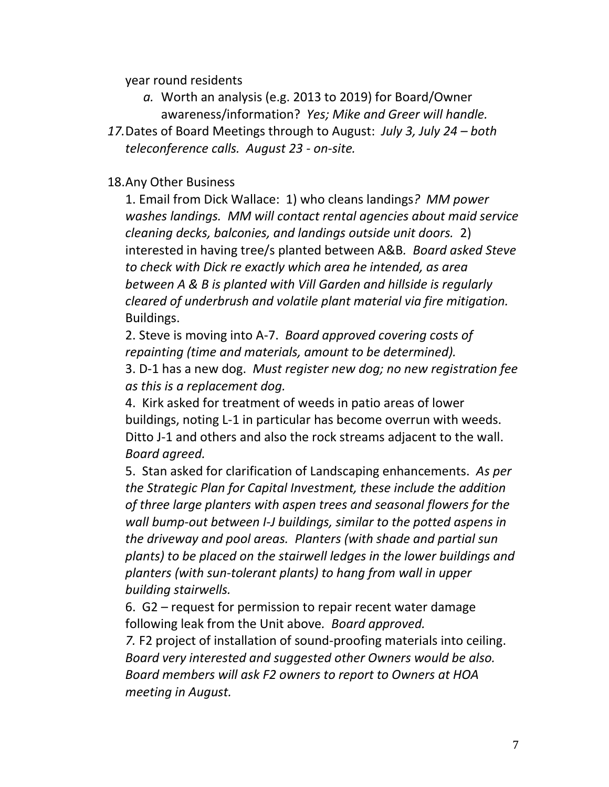year round residents

- *a.* Worth an analysis (e.g. 2013 to 2019) for Board/Owner awareness/information? *Yes; Mike and Greer will handle.*
- *17.*Dates of Board Meetings through to August: *July 3, July 24 – both teleconference calls. August 23 - on-site.*

## 18.Any Other Business

1. Email from Dick Wallace: 1) who cleans landings*? MM power washes landings. MM will contact rental agencies about maid service cleaning decks, balconies, and landings outside unit doors.* 2) interested in having tree/s planted between A&B*. Board asked Steve to check with Dick re exactly which area he intended, as area between A & B is planted with Vill Garden and hillside is regularly cleared of underbrush and volatile plant material via fire mitigation.* Buildings.

2. Steve is moving into A-7. *Board approved covering costs of repainting (time and materials, amount to be determined).*

3. D-1 has a new dog. *Must register new dog; no new registration fee as this is a replacement dog.*

4.Kirk asked for treatment of weeds in patio areas of lower buildings, noting L-1 in particular has become overrun with weeds. Ditto J-1 and others and also the rock streams adjacent to the wall. *Board agreed.* 

5. Stan asked for clarification of Landscaping enhancements. *As per the Strategic Plan for Capital Investment, these include the addition of three large planters with aspen trees and seasonal flowers for the wall bump-out between I-J buildings, similar to the potted aspens in the driveway and pool areas. Planters (with shade and partial sun plants) to be placed on the stairwell ledges in the lower buildings and planters (with sun-tolerant plants) to hang from wall in upper building stairwells.* 

6.G2 – request for permission to repair recent water damage following leak from the Unit above*. Board approved.*

*7.* F2 project of installation of sound-proofing materials into ceiling. *Board very interested and suggested other Owners would be also. Board members will ask F2 owners to report to Owners at HOA meeting in August.*